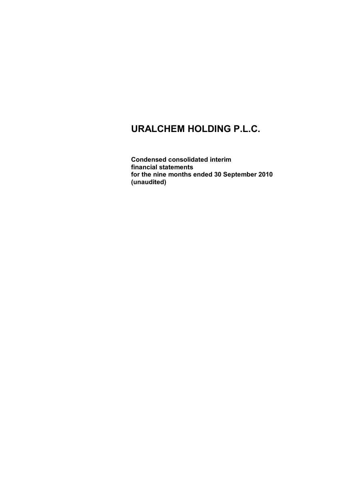**Condensed consolidated interim financial statements for the nine months ended 30 September 2010 (unaudited)**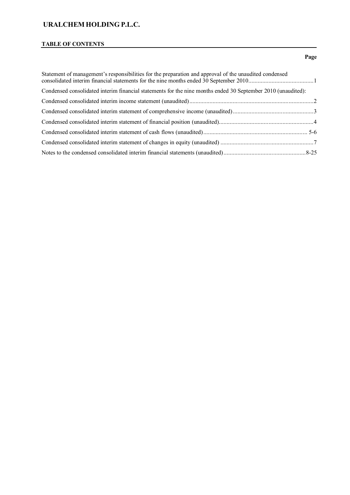# **TABLE OF CONTENTS**

# **Page**

| Statement of management's responsibilities for the preparation and approval of the unaudited condensed       |  |
|--------------------------------------------------------------------------------------------------------------|--|
| Condensed consolidated interim financial statements for the nine months ended 30 September 2010 (unaudited): |  |
|                                                                                                              |  |
|                                                                                                              |  |
|                                                                                                              |  |
|                                                                                                              |  |
|                                                                                                              |  |
|                                                                                                              |  |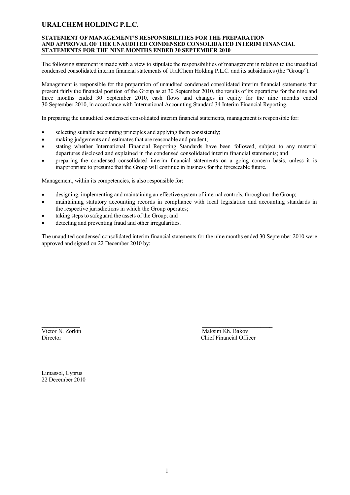### **STATEMENT OF MANAGEMENT'S RESPONSIBILITIES FOR THE PREPARATION AND APPROVAL OF THE UNAUDITED CONDENSED CONSOLIDATED INTERIM FINANCIAL STATEMENTS FOR THE NINE MONTHS ENDED 30 SEPTEMBER 2010**

The following statement is made with a view to stipulate the responsibilities of management in relation to the unaudited condensed consolidated interim financial statements of UralChem Holding P.L.C. and its subsidiaries (the "Group").

Management is responsible for the preparation of unaudited condensed consolidated interim financial statements that present fairly the financial position of the Group as at 30 September 2010, the results of its operations for the nine and three months ended 30 September 2010, cash flows and changes in equity for the nine months ended 30 September 2010, in accordance with International Accounting Standard 34 Interim Financial Reporting.

In preparing the unaudited condensed consolidated interim financial statements, management is responsible for:

- selecting suitable accounting principles and applying them consistently;
- making judgements and estimates that are reasonable and prudent;
- stating whether International Financial Reporting Standards have been followed, subject to any material departures disclosed and explained in the condensed consolidated interim financial statements; and
- preparing the condensed consolidated interim financial statements on a going concern basis, unless it is inappropriate to presume that the Group will continue in business for the foreseeable future.

Management, within its competencies, is also responsible for:

- designing, implementing and maintaining an effective system of internal controls, throughout the Group;
- maintaining statutory accounting records in compliance with local legislation and accounting standards in the respective jurisdictions in which the Group operates;
- taking steps to safeguard the assets of the Group; and
- detecting and preventing fraud and other irregularities.

The unaudited condensed consolidated interim financial statements for the nine months ended 30 September 2010 were approved and signed on 22 December 2010 by:

\_\_\_\_\_\_\_\_\_\_\_\_\_ \_\_\_\_\_\_\_\_\_\_\_\_\_\_\_\_\_\_\_\_\_\_\_\_ Victor N. Zorkin Maksim Kh. Bakov<br>Director Chief Financial Office Chief Financial Officer

Limassol, Cyprus 22 December 2010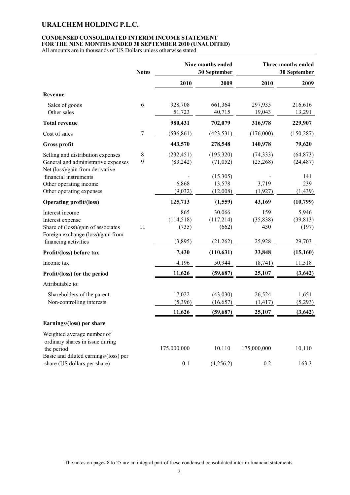# **CONDENSED CONSOLIDATED INTERIM INCOME STATEMENT FOR THE NINE MONTHS ENDED 30 SEPTEMBER 2010 (UNAUDITED)**

|                                                                                                                                                                                            | <b>Notes</b>     |                                             | Nine months ended<br>30 September                        |                                            | Three months ended<br>30 September               |
|--------------------------------------------------------------------------------------------------------------------------------------------------------------------------------------------|------------------|---------------------------------------------|----------------------------------------------------------|--------------------------------------------|--------------------------------------------------|
|                                                                                                                                                                                            |                  | 2010                                        | 2009                                                     | 2010                                       | 2009                                             |
| Revenue                                                                                                                                                                                    |                  |                                             |                                                          |                                            |                                                  |
| Sales of goods<br>Other sales                                                                                                                                                              | 6                | 928,708<br>51,723                           | 661,364<br>40,715                                        | 297,935<br>19,043                          | 216,616<br>13,291                                |
| <b>Total revenue</b>                                                                                                                                                                       |                  | 980,431                                     | 702,079                                                  | 316,978                                    | 229,907                                          |
| Cost of sales                                                                                                                                                                              | $\boldsymbol{7}$ | (536, 861)                                  | (423, 531)                                               | (176,000)                                  | (150, 287)                                       |
| <b>Gross profit</b>                                                                                                                                                                        |                  | 443,570                                     | 278,548                                                  | 140,978                                    | 79,620                                           |
| Selling and distribution expenses<br>General and administrative expenses<br>Net (loss)/gain from derivative<br>financial instruments<br>Other operating income<br>Other operating expenses | 8<br>9           | (232, 451)<br>(83, 242)<br>6,868<br>(9,032) | (195,320)<br>(71, 052)<br>(15,305)<br>13,578<br>(12,008) | (74, 333)<br>(25, 268)<br>3,719<br>(1,927) | (64, 873)<br>(24, 487)<br>141<br>239<br>(1, 439) |
| <b>Operating profit/(loss)</b>                                                                                                                                                             |                  | 125,713                                     | (1,559)                                                  | 43,169                                     | (10, 799)                                        |
| Interest income<br>Interest expense<br>Share of (loss)/gain of associates<br>Foreign exchange (loss)/gain from<br>financing activities                                                     | 11               | 865<br>(114, 518)<br>(735)<br>(3,895)       | 30,066<br>(117,214)<br>(662)<br>(21,262)                 | 159<br>(35, 838)<br>430<br>25,928          | 5,946<br>(39, 813)<br>(197)<br>29,703            |
| Profit/(loss) before tax                                                                                                                                                                   |                  | 7,430                                       | (110, 631)                                               | 33,848                                     | (15, 160)                                        |
| Income tax                                                                                                                                                                                 |                  | 4,196                                       | 50,944                                                   | (8,741)                                    | 11,518                                           |
| Profit/(loss) for the period                                                                                                                                                               |                  | 11,626                                      | (59, 687)                                                | 25,107                                     | (3, 642)                                         |
| Attributable to:                                                                                                                                                                           |                  |                                             |                                                          |                                            |                                                  |
| Shareholders of the parent<br>Non-controlling interests                                                                                                                                    |                  | 17,022<br>(5,396)                           | (43,030)<br>(16, 657)                                    | 26,524<br>(1, 417)                         | 1,651<br>(5,293)                                 |
|                                                                                                                                                                                            |                  | 11,626                                      | (59,687)                                                 | 25,107                                     | (3, 642)                                         |
| Earnings/(loss) per share                                                                                                                                                                  |                  |                                             |                                                          |                                            |                                                  |
| Weighted average number of<br>ordinary shares in issue during<br>the period<br>Basic and diluted earnings/(loss) per                                                                       |                  | 175,000,000                                 | 10,110                                                   | 175,000,000                                | 10,110                                           |
| share (US dollars per share)                                                                                                                                                               |                  | 0.1                                         | (4,256.2)                                                | 0.2                                        | 163.3                                            |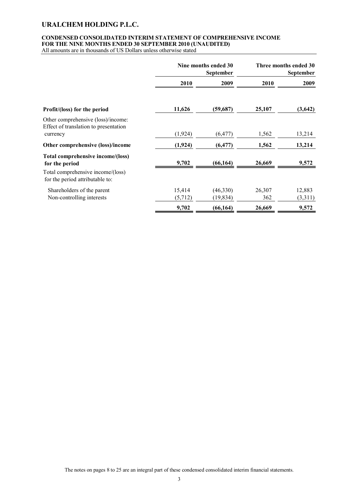# **CONDENSED CONSOLIDATED INTERIM STATEMENT OF COMPREHENSIVE INCOME FOR THE NINE MONTHS ENDED 30 SEPTEMBER 2010 (UNAUDITED)**

|                                                                                                                             | Nine months ended 30<br><b>September</b> |                       |               | Three months ended 30<br><b>September</b> |
|-----------------------------------------------------------------------------------------------------------------------------|------------------------------------------|-----------------------|---------------|-------------------------------------------|
|                                                                                                                             | 2010                                     | 2009                  | 2010          | 2009                                      |
| Profit/(loss) for the period                                                                                                | 11,626                                   | (59,687)              | 25,107        | (3, 642)                                  |
| Other comprehensive (loss)/income:<br>Effect of translation to presentation<br>currency                                     | (1,924)                                  | (6, 477)              | 1,562         | 13,214                                    |
| Other comprehensive (loss)/income                                                                                           | (1, 924)                                 | (6, 477)              | 1,562         | 13,214                                    |
| Total comprehensive income/(loss)<br>for the period<br>Total comprehensive income/(loss)<br>for the period attributable to: | 9,702                                    | (66, 164)             | 26,669        | 9,572                                     |
| Shareholders of the parent<br>Non-controlling interests                                                                     | 15,414<br>(5,712)                        | (46,330)<br>(19, 834) | 26,307<br>362 | 12,883<br>(3,311)                         |
|                                                                                                                             | 9,702                                    | (66, 164)             | 26,669        | 9,572                                     |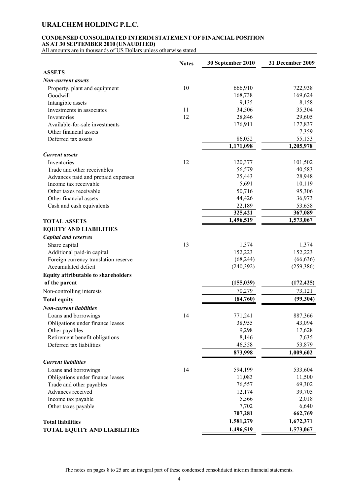### **CONDENSED CONSOLIDATED INTERIM STATEMENT OF FINANCIAL POSITION AS AT 30 SEPTEMBER 2010 (UNAUDITED)**

| <b>ASSETS</b><br><b>Non-current assets</b><br>10<br>666,910<br>722,938<br>Property, plant and equipment<br>168,738<br>169,624<br>Goodwill<br>8,158<br>Intangible assets<br>9,135<br>35,304<br>Investments in associates<br>11<br>34,506<br>12<br>28,846<br>29,605<br>Inventories<br>176,911<br>177,837<br>Available-for-sale investments<br>7,359<br>Other financial assets<br>86,052<br>55,153<br>Deferred tax assets<br>1,171,098<br>1,205,978<br><b>Current</b> assets<br>12<br>120,377<br>101,502<br>Inventories<br>56,579<br>40,583<br>Trade and other receivables<br>25,443<br>28,948<br>Advances paid and prepaid expenses<br>5,691<br>10,119<br>Income tax receivable<br>50,716<br>95,306<br>Other taxes receivable<br>44,426<br>36,973<br>Other financial assets<br>22,189<br>53,658<br>Cash and cash equivalents<br>325,421<br>367,089<br>1,496,519<br>1,573,067<br><b>TOTAL ASSETS</b><br><b>EQUITY AND LIABILITIES</b><br><b>Capital and reserves</b><br>13<br>1,374<br>1,374<br>Share capital<br>152,223<br>152,223<br>Additional paid-in capital<br>Foreign currency translation reserve<br>(68, 244)<br>(66, 636)<br>Accumulated deficit<br>(240,392)<br>(259, 386)<br><b>Equity attributable to shareholders</b><br>(155, 039)<br>of the parent<br>(172, 425)<br>70,279<br>73,121<br>Non-controlling interests<br>(99, 304)<br>(84,760)<br><b>Total equity</b><br><b>Non-current liabilities</b><br>14<br>771,241<br>887,366<br>Loans and borrowings<br>Obligations under finance leases<br>38,955<br>43,094<br>9,298<br>17,628<br>Other payables<br>Retirement benefit obligations<br>8,146<br>7,635<br>Deferred tax liabilities<br>46,358<br>53,879<br>873,998<br>1,009,602<br><b>Current liabilities</b><br>14<br>Loans and borrowings<br>594,199<br>533,604<br>11,083<br>11,500<br>Obligations under finance leases<br>76,557<br>69,302<br>Trade and other payables<br>12,174<br>39,705<br>Advances received<br>5,566<br>2,018<br>Income tax payable<br>7,702<br>6,640<br>Other taxes payable<br>707,281<br>662,769<br>1,581,279<br>1,672,371<br><b>Total liabilities</b><br>1,573,067<br>1,496,519<br><b>TOTAL EQUITY AND LIABILITIES</b> | <b>Notes</b> | 30 September 2010 | 31 December 2009 |
|----------------------------------------------------------------------------------------------------------------------------------------------------------------------------------------------------------------------------------------------------------------------------------------------------------------------------------------------------------------------------------------------------------------------------------------------------------------------------------------------------------------------------------------------------------------------------------------------------------------------------------------------------------------------------------------------------------------------------------------------------------------------------------------------------------------------------------------------------------------------------------------------------------------------------------------------------------------------------------------------------------------------------------------------------------------------------------------------------------------------------------------------------------------------------------------------------------------------------------------------------------------------------------------------------------------------------------------------------------------------------------------------------------------------------------------------------------------------------------------------------------------------------------------------------------------------------------------------------------------------------------------------------------------------------------------------------------------------------------------------------------------------------------------------------------------------------------------------------------------------------------------------------------------------------------------------------------------------------------------------------------------------------------------------------------------------------------------------------------------------------------------------------------------|--------------|-------------------|------------------|
|                                                                                                                                                                                                                                                                                                                                                                                                                                                                                                                                                                                                                                                                                                                                                                                                                                                                                                                                                                                                                                                                                                                                                                                                                                                                                                                                                                                                                                                                                                                                                                                                                                                                                                                                                                                                                                                                                                                                                                                                                                                                                                                                                                |              |                   |                  |
|                                                                                                                                                                                                                                                                                                                                                                                                                                                                                                                                                                                                                                                                                                                                                                                                                                                                                                                                                                                                                                                                                                                                                                                                                                                                                                                                                                                                                                                                                                                                                                                                                                                                                                                                                                                                                                                                                                                                                                                                                                                                                                                                                                |              |                   |                  |
|                                                                                                                                                                                                                                                                                                                                                                                                                                                                                                                                                                                                                                                                                                                                                                                                                                                                                                                                                                                                                                                                                                                                                                                                                                                                                                                                                                                                                                                                                                                                                                                                                                                                                                                                                                                                                                                                                                                                                                                                                                                                                                                                                                |              |                   |                  |
|                                                                                                                                                                                                                                                                                                                                                                                                                                                                                                                                                                                                                                                                                                                                                                                                                                                                                                                                                                                                                                                                                                                                                                                                                                                                                                                                                                                                                                                                                                                                                                                                                                                                                                                                                                                                                                                                                                                                                                                                                                                                                                                                                                |              |                   |                  |
|                                                                                                                                                                                                                                                                                                                                                                                                                                                                                                                                                                                                                                                                                                                                                                                                                                                                                                                                                                                                                                                                                                                                                                                                                                                                                                                                                                                                                                                                                                                                                                                                                                                                                                                                                                                                                                                                                                                                                                                                                                                                                                                                                                |              |                   |                  |
|                                                                                                                                                                                                                                                                                                                                                                                                                                                                                                                                                                                                                                                                                                                                                                                                                                                                                                                                                                                                                                                                                                                                                                                                                                                                                                                                                                                                                                                                                                                                                                                                                                                                                                                                                                                                                                                                                                                                                                                                                                                                                                                                                                |              |                   |                  |
|                                                                                                                                                                                                                                                                                                                                                                                                                                                                                                                                                                                                                                                                                                                                                                                                                                                                                                                                                                                                                                                                                                                                                                                                                                                                                                                                                                                                                                                                                                                                                                                                                                                                                                                                                                                                                                                                                                                                                                                                                                                                                                                                                                |              |                   |                  |
|                                                                                                                                                                                                                                                                                                                                                                                                                                                                                                                                                                                                                                                                                                                                                                                                                                                                                                                                                                                                                                                                                                                                                                                                                                                                                                                                                                                                                                                                                                                                                                                                                                                                                                                                                                                                                                                                                                                                                                                                                                                                                                                                                                |              |                   |                  |
|                                                                                                                                                                                                                                                                                                                                                                                                                                                                                                                                                                                                                                                                                                                                                                                                                                                                                                                                                                                                                                                                                                                                                                                                                                                                                                                                                                                                                                                                                                                                                                                                                                                                                                                                                                                                                                                                                                                                                                                                                                                                                                                                                                |              |                   |                  |
|                                                                                                                                                                                                                                                                                                                                                                                                                                                                                                                                                                                                                                                                                                                                                                                                                                                                                                                                                                                                                                                                                                                                                                                                                                                                                                                                                                                                                                                                                                                                                                                                                                                                                                                                                                                                                                                                                                                                                                                                                                                                                                                                                                |              |                   |                  |
|                                                                                                                                                                                                                                                                                                                                                                                                                                                                                                                                                                                                                                                                                                                                                                                                                                                                                                                                                                                                                                                                                                                                                                                                                                                                                                                                                                                                                                                                                                                                                                                                                                                                                                                                                                                                                                                                                                                                                                                                                                                                                                                                                                |              |                   |                  |
|                                                                                                                                                                                                                                                                                                                                                                                                                                                                                                                                                                                                                                                                                                                                                                                                                                                                                                                                                                                                                                                                                                                                                                                                                                                                                                                                                                                                                                                                                                                                                                                                                                                                                                                                                                                                                                                                                                                                                                                                                                                                                                                                                                |              |                   |                  |
|                                                                                                                                                                                                                                                                                                                                                                                                                                                                                                                                                                                                                                                                                                                                                                                                                                                                                                                                                                                                                                                                                                                                                                                                                                                                                                                                                                                                                                                                                                                                                                                                                                                                                                                                                                                                                                                                                                                                                                                                                                                                                                                                                                |              |                   |                  |
|                                                                                                                                                                                                                                                                                                                                                                                                                                                                                                                                                                                                                                                                                                                                                                                                                                                                                                                                                                                                                                                                                                                                                                                                                                                                                                                                                                                                                                                                                                                                                                                                                                                                                                                                                                                                                                                                                                                                                                                                                                                                                                                                                                |              |                   |                  |
|                                                                                                                                                                                                                                                                                                                                                                                                                                                                                                                                                                                                                                                                                                                                                                                                                                                                                                                                                                                                                                                                                                                                                                                                                                                                                                                                                                                                                                                                                                                                                                                                                                                                                                                                                                                                                                                                                                                                                                                                                                                                                                                                                                |              |                   |                  |
|                                                                                                                                                                                                                                                                                                                                                                                                                                                                                                                                                                                                                                                                                                                                                                                                                                                                                                                                                                                                                                                                                                                                                                                                                                                                                                                                                                                                                                                                                                                                                                                                                                                                                                                                                                                                                                                                                                                                                                                                                                                                                                                                                                |              |                   |                  |
|                                                                                                                                                                                                                                                                                                                                                                                                                                                                                                                                                                                                                                                                                                                                                                                                                                                                                                                                                                                                                                                                                                                                                                                                                                                                                                                                                                                                                                                                                                                                                                                                                                                                                                                                                                                                                                                                                                                                                                                                                                                                                                                                                                |              |                   |                  |
|                                                                                                                                                                                                                                                                                                                                                                                                                                                                                                                                                                                                                                                                                                                                                                                                                                                                                                                                                                                                                                                                                                                                                                                                                                                                                                                                                                                                                                                                                                                                                                                                                                                                                                                                                                                                                                                                                                                                                                                                                                                                                                                                                                |              |                   |                  |
|                                                                                                                                                                                                                                                                                                                                                                                                                                                                                                                                                                                                                                                                                                                                                                                                                                                                                                                                                                                                                                                                                                                                                                                                                                                                                                                                                                                                                                                                                                                                                                                                                                                                                                                                                                                                                                                                                                                                                                                                                                                                                                                                                                |              |                   |                  |
|                                                                                                                                                                                                                                                                                                                                                                                                                                                                                                                                                                                                                                                                                                                                                                                                                                                                                                                                                                                                                                                                                                                                                                                                                                                                                                                                                                                                                                                                                                                                                                                                                                                                                                                                                                                                                                                                                                                                                                                                                                                                                                                                                                |              |                   |                  |
|                                                                                                                                                                                                                                                                                                                                                                                                                                                                                                                                                                                                                                                                                                                                                                                                                                                                                                                                                                                                                                                                                                                                                                                                                                                                                                                                                                                                                                                                                                                                                                                                                                                                                                                                                                                                                                                                                                                                                                                                                                                                                                                                                                |              |                   |                  |
|                                                                                                                                                                                                                                                                                                                                                                                                                                                                                                                                                                                                                                                                                                                                                                                                                                                                                                                                                                                                                                                                                                                                                                                                                                                                                                                                                                                                                                                                                                                                                                                                                                                                                                                                                                                                                                                                                                                                                                                                                                                                                                                                                                |              |                   |                  |
|                                                                                                                                                                                                                                                                                                                                                                                                                                                                                                                                                                                                                                                                                                                                                                                                                                                                                                                                                                                                                                                                                                                                                                                                                                                                                                                                                                                                                                                                                                                                                                                                                                                                                                                                                                                                                                                                                                                                                                                                                                                                                                                                                                |              |                   |                  |
|                                                                                                                                                                                                                                                                                                                                                                                                                                                                                                                                                                                                                                                                                                                                                                                                                                                                                                                                                                                                                                                                                                                                                                                                                                                                                                                                                                                                                                                                                                                                                                                                                                                                                                                                                                                                                                                                                                                                                                                                                                                                                                                                                                |              |                   |                  |
|                                                                                                                                                                                                                                                                                                                                                                                                                                                                                                                                                                                                                                                                                                                                                                                                                                                                                                                                                                                                                                                                                                                                                                                                                                                                                                                                                                                                                                                                                                                                                                                                                                                                                                                                                                                                                                                                                                                                                                                                                                                                                                                                                                |              |                   |                  |
|                                                                                                                                                                                                                                                                                                                                                                                                                                                                                                                                                                                                                                                                                                                                                                                                                                                                                                                                                                                                                                                                                                                                                                                                                                                                                                                                                                                                                                                                                                                                                                                                                                                                                                                                                                                                                                                                                                                                                                                                                                                                                                                                                                |              |                   |                  |
|                                                                                                                                                                                                                                                                                                                                                                                                                                                                                                                                                                                                                                                                                                                                                                                                                                                                                                                                                                                                                                                                                                                                                                                                                                                                                                                                                                                                                                                                                                                                                                                                                                                                                                                                                                                                                                                                                                                                                                                                                                                                                                                                                                |              |                   |                  |
|                                                                                                                                                                                                                                                                                                                                                                                                                                                                                                                                                                                                                                                                                                                                                                                                                                                                                                                                                                                                                                                                                                                                                                                                                                                                                                                                                                                                                                                                                                                                                                                                                                                                                                                                                                                                                                                                                                                                                                                                                                                                                                                                                                |              |                   |                  |
|                                                                                                                                                                                                                                                                                                                                                                                                                                                                                                                                                                                                                                                                                                                                                                                                                                                                                                                                                                                                                                                                                                                                                                                                                                                                                                                                                                                                                                                                                                                                                                                                                                                                                                                                                                                                                                                                                                                                                                                                                                                                                                                                                                |              |                   |                  |
|                                                                                                                                                                                                                                                                                                                                                                                                                                                                                                                                                                                                                                                                                                                                                                                                                                                                                                                                                                                                                                                                                                                                                                                                                                                                                                                                                                                                                                                                                                                                                                                                                                                                                                                                                                                                                                                                                                                                                                                                                                                                                                                                                                |              |                   |                  |
|                                                                                                                                                                                                                                                                                                                                                                                                                                                                                                                                                                                                                                                                                                                                                                                                                                                                                                                                                                                                                                                                                                                                                                                                                                                                                                                                                                                                                                                                                                                                                                                                                                                                                                                                                                                                                                                                                                                                                                                                                                                                                                                                                                |              |                   |                  |
|                                                                                                                                                                                                                                                                                                                                                                                                                                                                                                                                                                                                                                                                                                                                                                                                                                                                                                                                                                                                                                                                                                                                                                                                                                                                                                                                                                                                                                                                                                                                                                                                                                                                                                                                                                                                                                                                                                                                                                                                                                                                                                                                                                |              |                   |                  |
|                                                                                                                                                                                                                                                                                                                                                                                                                                                                                                                                                                                                                                                                                                                                                                                                                                                                                                                                                                                                                                                                                                                                                                                                                                                                                                                                                                                                                                                                                                                                                                                                                                                                                                                                                                                                                                                                                                                                                                                                                                                                                                                                                                |              |                   |                  |
|                                                                                                                                                                                                                                                                                                                                                                                                                                                                                                                                                                                                                                                                                                                                                                                                                                                                                                                                                                                                                                                                                                                                                                                                                                                                                                                                                                                                                                                                                                                                                                                                                                                                                                                                                                                                                                                                                                                                                                                                                                                                                                                                                                |              |                   |                  |
|                                                                                                                                                                                                                                                                                                                                                                                                                                                                                                                                                                                                                                                                                                                                                                                                                                                                                                                                                                                                                                                                                                                                                                                                                                                                                                                                                                                                                                                                                                                                                                                                                                                                                                                                                                                                                                                                                                                                                                                                                                                                                                                                                                |              |                   |                  |
|                                                                                                                                                                                                                                                                                                                                                                                                                                                                                                                                                                                                                                                                                                                                                                                                                                                                                                                                                                                                                                                                                                                                                                                                                                                                                                                                                                                                                                                                                                                                                                                                                                                                                                                                                                                                                                                                                                                                                                                                                                                                                                                                                                |              |                   |                  |
|                                                                                                                                                                                                                                                                                                                                                                                                                                                                                                                                                                                                                                                                                                                                                                                                                                                                                                                                                                                                                                                                                                                                                                                                                                                                                                                                                                                                                                                                                                                                                                                                                                                                                                                                                                                                                                                                                                                                                                                                                                                                                                                                                                |              |                   |                  |
|                                                                                                                                                                                                                                                                                                                                                                                                                                                                                                                                                                                                                                                                                                                                                                                                                                                                                                                                                                                                                                                                                                                                                                                                                                                                                                                                                                                                                                                                                                                                                                                                                                                                                                                                                                                                                                                                                                                                                                                                                                                                                                                                                                |              |                   |                  |
|                                                                                                                                                                                                                                                                                                                                                                                                                                                                                                                                                                                                                                                                                                                                                                                                                                                                                                                                                                                                                                                                                                                                                                                                                                                                                                                                                                                                                                                                                                                                                                                                                                                                                                                                                                                                                                                                                                                                                                                                                                                                                                                                                                |              |                   |                  |
|                                                                                                                                                                                                                                                                                                                                                                                                                                                                                                                                                                                                                                                                                                                                                                                                                                                                                                                                                                                                                                                                                                                                                                                                                                                                                                                                                                                                                                                                                                                                                                                                                                                                                                                                                                                                                                                                                                                                                                                                                                                                                                                                                                |              |                   |                  |
|                                                                                                                                                                                                                                                                                                                                                                                                                                                                                                                                                                                                                                                                                                                                                                                                                                                                                                                                                                                                                                                                                                                                                                                                                                                                                                                                                                                                                                                                                                                                                                                                                                                                                                                                                                                                                                                                                                                                                                                                                                                                                                                                                                |              |                   |                  |
|                                                                                                                                                                                                                                                                                                                                                                                                                                                                                                                                                                                                                                                                                                                                                                                                                                                                                                                                                                                                                                                                                                                                                                                                                                                                                                                                                                                                                                                                                                                                                                                                                                                                                                                                                                                                                                                                                                                                                                                                                                                                                                                                                                |              |                   |                  |
|                                                                                                                                                                                                                                                                                                                                                                                                                                                                                                                                                                                                                                                                                                                                                                                                                                                                                                                                                                                                                                                                                                                                                                                                                                                                                                                                                                                                                                                                                                                                                                                                                                                                                                                                                                                                                                                                                                                                                                                                                                                                                                                                                                |              |                   |                  |
|                                                                                                                                                                                                                                                                                                                                                                                                                                                                                                                                                                                                                                                                                                                                                                                                                                                                                                                                                                                                                                                                                                                                                                                                                                                                                                                                                                                                                                                                                                                                                                                                                                                                                                                                                                                                                                                                                                                                                                                                                                                                                                                                                                |              |                   |                  |
|                                                                                                                                                                                                                                                                                                                                                                                                                                                                                                                                                                                                                                                                                                                                                                                                                                                                                                                                                                                                                                                                                                                                                                                                                                                                                                                                                                                                                                                                                                                                                                                                                                                                                                                                                                                                                                                                                                                                                                                                                                                                                                                                                                |              |                   |                  |
|                                                                                                                                                                                                                                                                                                                                                                                                                                                                                                                                                                                                                                                                                                                                                                                                                                                                                                                                                                                                                                                                                                                                                                                                                                                                                                                                                                                                                                                                                                                                                                                                                                                                                                                                                                                                                                                                                                                                                                                                                                                                                                                                                                |              |                   |                  |
|                                                                                                                                                                                                                                                                                                                                                                                                                                                                                                                                                                                                                                                                                                                                                                                                                                                                                                                                                                                                                                                                                                                                                                                                                                                                                                                                                                                                                                                                                                                                                                                                                                                                                                                                                                                                                                                                                                                                                                                                                                                                                                                                                                |              |                   |                  |
|                                                                                                                                                                                                                                                                                                                                                                                                                                                                                                                                                                                                                                                                                                                                                                                                                                                                                                                                                                                                                                                                                                                                                                                                                                                                                                                                                                                                                                                                                                                                                                                                                                                                                                                                                                                                                                                                                                                                                                                                                                                                                                                                                                |              |                   |                  |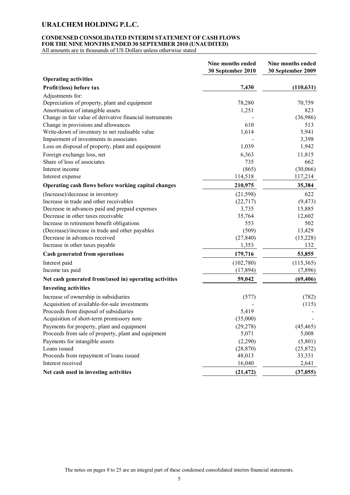### **CONDENSED CONSOLIDATED INTERIM STATEMENT OF CASH FLOWS FOR THE NINE MONTHS ENDED 30 SEPTEMBER 2010 (UNAUDITED)**

|                                                          | Nine months ended<br>30 September 2010 | Nine months ended<br>30 September 2009 |
|----------------------------------------------------------|----------------------------------------|----------------------------------------|
| <b>Operating activities</b>                              |                                        |                                        |
| Profit/(loss) before tax                                 | 7,430                                  | (110, 631)                             |
| Adjustments for:                                         |                                        |                                        |
| Depreciation of property, plant and equipment            | 78,280                                 | 70,759                                 |
| Amortisation of intangible assets                        | 1,251                                  | 823                                    |
| Change in fair value of derivative financial instruments |                                        | (36,986)                               |
| Change in provisions and allowances                      | 610                                    | 513                                    |
| Write-down of inventory to net realisable value          | 1,614                                  | 5,941                                  |
| Impairment of investments in associates                  |                                        | 3,398                                  |
| Loss on disposal of property, plant and equipment        | 1,039                                  | 1,942                                  |
| Foreign exchange loss, net                               | 6,363                                  | 11,815                                 |
| Share of loss of associates                              | 735                                    | 662                                    |
| Interest income                                          | (865)                                  | (30,066)                               |
| Interest expense                                         | 114,518                                | 117,214                                |
| Operating cash flows before working capital changes      | 210,975                                | 35,384                                 |
| (Increase)/decrease in inventory                         | (21, 598)                              | 622                                    |
| Increase in trade and other receivables                  | (22, 717)                              | (9, 473)                               |
| Decrease in advances paid and prepaid expenses           | 3,735                                  | 15,885                                 |
| Decrease in other taxes receivable                       | 35,764                                 | 12,602                                 |
| Increase in retirement benefit obligations               | 553                                    | 502                                    |
| (Decrease)/increase in trade and other payables          | (509)                                  | 13,429                                 |
| Decrease in advances received                            | (27, 840)                              | (15,228)                               |
| Increase in other taxes payable                          | 1,353                                  | 132                                    |
| <b>Cash generated from operations</b>                    | 179,716                                | 53,855                                 |
| Interest paid                                            | (102,780)                              | (115,365)                              |
| Income tax paid                                          | (17, 894)                              | (7,896)                                |
| Net cash generated from/(used in) operating activities   | 59,042                                 | (69, 406)                              |
| <b>Investing activities</b>                              |                                        |                                        |
| Increase of ownership in subsidiaries                    | (577)                                  | (782)                                  |
| Acquisition of available-for-sale investments            |                                        | (115)                                  |
| Proceeds from disposal of subsidiaries                   | 5,419                                  |                                        |
| Acquisition of short-term promissory note                | (35,000)                               |                                        |
| Payments for property, plant and equipment               | (29, 278)                              | (45, 465)                              |
| Proceeds from sale of property, plant and equipment      | 5,071                                  | 5,008                                  |
| Payments for intangible assets                           | (2,290)                                | (5,801)                                |
| Loans issued                                             | (28, 870)                              | (25, 872)                              |
| Proceeds from repayment of loans issued                  | 48,013                                 | 33,331                                 |
| Interest received                                        | 16,040                                 | 2,641                                  |
| Net cash used in investing activities                    | (21, 472)                              | (37, 055)                              |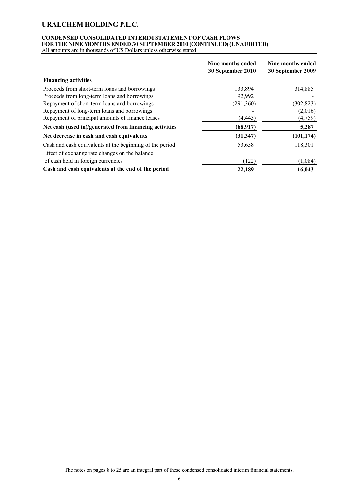# **CONDENSED CONSOLIDATED INTERIM STATEMENT OF CASH FLOWS FOR THE NINE MONTHS ENDED 30 SEPTEMBER 2010 (CONTINUED) (UNAUDITED)**

All amounts are in thousands of US Dollars unless otherwise stated

|                                                          | Nine months ended<br>30 September 2010 | Nine months ended<br>30 September 2009 |
|----------------------------------------------------------|----------------------------------------|----------------------------------------|
| <b>Financing activities</b>                              |                                        |                                        |
| Proceeds from short-term loans and borrowings            | 133,894                                | 314,885                                |
| Proceeds from long-term loans and borrowings             | 92,992                                 |                                        |
| Repayment of short-term loans and borrowings             | (291,360)                              | (302, 823)                             |
| Repayment of long-term loans and borrowings              |                                        | (2,016)                                |
| Repayment of principal amounts of finance leases         | (4,443)                                | (4,759)                                |
| Net cash (used in)/generated from financing activities   | (68, 917)                              | 5,287                                  |
| Net decrease in cash and cash equivalents                | (31, 347)                              | (101, 174)                             |
| Cash and cash equivalents at the beginning of the period | 53,658                                 | 118,301                                |
| Effect of exchange rate changes on the balance           |                                        |                                        |
| of cash held in foreign currencies                       | (122)                                  | (1,084)                                |
| Cash and cash equivalents at the end of the period       | 22,189                                 | 16,043                                 |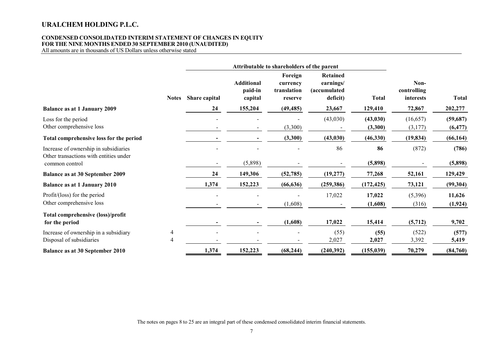### **CONDENSED CONSOLIDATED INTERIM STATEMENT OF CHANGES IN EQUITY FOR THE NINE MONTHS ENDED 30 SEPTEMBER 2010 (UNAUDITED)**

All amounts are in thousands of US Dollars unless otherwise stated

|                                                                                 |              | Attributable to shareholders of the parent |                                         |                                               |                                                                  |                      |                                  |                       |
|---------------------------------------------------------------------------------|--------------|--------------------------------------------|-----------------------------------------|-----------------------------------------------|------------------------------------------------------------------|----------------------|----------------------------------|-----------------------|
|                                                                                 | <b>Notes</b> | Share capital                              | <b>Additional</b><br>paid-in<br>capital | Foreign<br>currency<br>translation<br>reserve | <b>Retained</b><br>earnings/<br><i>(accumulated)</i><br>deficit) | <b>Total</b>         | Non-<br>controlling<br>interests | Total                 |
| <b>Balance as at 1 January 2009</b>                                             |              | 24                                         | 155,204                                 | (49, 485)                                     | 23,667                                                           | 129,410              | 72,867                           | 202,277               |
| Loss for the period<br>Other comprehensive loss                                 |              |                                            |                                         | (3,300)                                       | (43,030)                                                         | (43, 030)<br>(3,300) | (16, 657)<br>(3,177)             | (59, 687)<br>(6, 477) |
| Total comprehensive loss for the period                                         |              |                                            |                                         | (3,300)                                       | (43, 030)                                                        | (46,330)             | (19, 834)                        | (66, 164)             |
| Increase of ownership in subsidiaries<br>Other transactions with entities under |              |                                            |                                         |                                               | 86                                                               | 86                   | (872)                            | (786)                 |
| common control                                                                  |              |                                            | (5,898)                                 |                                               |                                                                  | (5,898)              |                                  | (5,898)               |
| <b>Balance as at 30 September 2009</b>                                          |              | 24                                         | 149,306                                 | (52, 785)                                     | (19, 277)                                                        | 77,268               | 52,161                           | 129,429               |
| <b>Balance as at 1 January 2010</b>                                             |              | 1,374                                      | 152,223                                 | (66, 636)                                     | (259, 386)                                                       | (172, 425)           | 73,121                           | (99, 304)             |
| Profit/(loss) for the period                                                    |              |                                            |                                         |                                               | 17,022                                                           | 17,022               | (5,396)                          | 11,626                |
| Other comprehensive loss                                                        |              |                                            |                                         | (1,608)                                       |                                                                  | (1,608)              | (316)                            | (1, 924)              |
| Total comprehensive (loss)/profit<br>for the period                             |              |                                            |                                         | (1,608)                                       | 17,022                                                           | 15,414               | (5,712)                          | 9,702                 |
| Increase of ownership in a subsidiary<br>Disposal of subsidiaries               | 4<br>4       |                                            |                                         |                                               | (55)<br>2,027                                                    | (55)<br>2,027        | (522)<br>3,392                   | (577)<br>5,419        |
| <b>Balance as at 30 September 2010</b>                                          |              | 1,374                                      | 152,223                                 | (68, 244)                                     | (240, 392)                                                       | (155, 039)           | 70,279                           | (84, 760)             |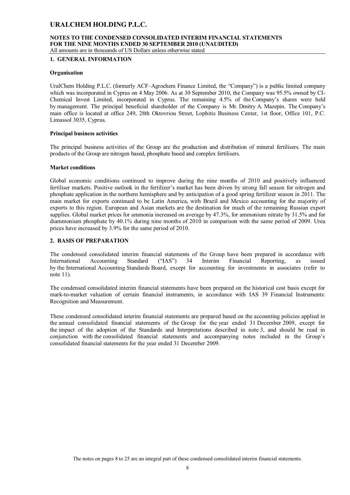#### **NOTES TO THE CONDENSED CONSOLIDATED INTERIM FINANCIAL STATEMENTS FOR THE NINE MONTHS ENDED 30 SEPTEMBER 2010 (UNAUDITED)** All amounts are in thousands of US Dollars unless otherwise stated

**1. GENERAL INFORMATION**

### **Organisation**

UralChem Holding P.L.C. (formerly ACF–Agrochem Finance Limited, the "Company") is a public limited company which was incorporated in Cyprus on 4 May 2006. As at 30 September 2010, the Company was 95.5% owned by CI-Chemical Invest Limited, incorporated in Cyprus. The remaining 4.5% of the Company's shares were held by management. The principal beneficial shareholder of the Company is Mr. Dmitry A. Mazepin. The Company's main office is located at office 249, 28th Oktovriou Street, Lophitis Business Center, 1st floor, Office 101, P.C. Limassol 3035, Cyprus.

### **Principal business activities**

The principal business activities of the Group are the production and distribution of mineral fertilisers. The main products of the Group are nitrogen based, phosphate based and complex fertilisers.

### **Market conditions**

Global economic conditions continued to improve during the nine months of 2010 and positively influenced fertiliser markets. Positive outlook in the fertilizer's market has been driven by strong fall season for nitrogen and phosphate application in the northern hemisphere and by anticipation of a good spring fertilizer season in 2011. The main market for exports continued to be Latin America, with Brazil and Mexico accounting for the majority of exports to this region. European and Asian markets are the destination for much of the remaining Russian export supplies. Global market prices for ammonia increased on average by 47.3%, for ammonium nitrate by 31.5% and for diammonium phosphate by 40.1% during nine months of 2010 in comparison with the same period of 2009. Urea prices have increased by 3.9% for the same period of 2010.

### **2. BASIS OF PREPARATION**

The condensed consolidated interim financial statements of the Group have been prepared in accordance with International Accounting Standard ("IAS") 34 Interim Financial Reporting, as issued International Accounting Standard ("IAS") 34 Interim Financial Reporting, as issued by the International Accounting Standards Board, except for accounting for investments in associates (refer to note 11).

The condensed consolidated interim financial statements have been prepared on the historical cost basis except for mark-to-market valuation of certain financial instruments, in accordance with IAS 39 Financial Instruments: Recognition and Measurement.

These condensed consolidated interim financial statements are prepared based on the accounting policies applied in the annual consolidated financial statements of the Group for the year ended 31 December 2009, except for the impact of the adoption of the Standards and Interpretations described in note 3, and should be read in conjunction with the consolidated financial statements and accompanying notes included in the Group's consolidated financial statements for the year ended 31 December 2009.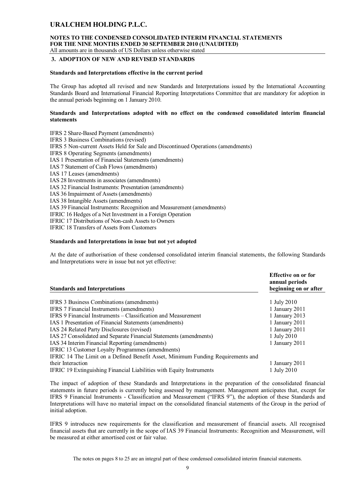#### **NOTES TO THE CONDENSED CONSOLIDATED INTERIM FINANCIAL STATEMENTS FOR THE NINE MONTHS ENDED 30 SEPTEMBER 2010 (UNAUDITED)** All amounts are in thousands of US Dollars unless otherwise stated

#### **3. ADOPTION OF NEW AND REVISED STANDARDS**

#### **Standards and Interpretations effective in the current period**

The Group has adopted all revised and new Standards and Interpretations issued by the International Accounting Standards Board and International Financial Reporting Interpretations Committee that are mandatory for adoption in the annual periods beginning on 1 January 2010.

### **Standards and Interpretations adopted with no effect on the condensed consolidated interim financial statements**

IFRS 2 Share-Based Payment (amendments) IFRS 3 Business Combinations (revised) IFRS 5 Non-current Assets Held for Sale and Discontinued Operations (amendments) IFRS 8 Operating Segments (amendments) IAS 1 Presentation of Financial Statements (amendments) IAS 7 Statement of Cash Flows (amendments) IAS 17 Leases (amendments) IAS 28 Investments in associates (amendments) IAS 32 Financial Instruments: Presentation (amendments) IAS 36 Impairment of Assets (amendments) IAS 38 Intangible Assets (amendments) IAS 39 Financial Instruments: Recognition and Measurement (amendments) IFRIC 16 Hedges of a Net Investment in a Foreign Operation IFRIC 17 Distributions of Non-cash Assets to Owners IFRIC 18 Transfers of Assets from Customers

### **Standards and Interpretations in issue but not yet adopted**

At the date of authorisation of these condensed consolidated interim financial statements, the following Standards and Interpretations were in issue but not yet effective:

| <b>Standards and Interpretations</b>                                            | Effective on or for<br>annual periods<br>beginning on or after |
|---------------------------------------------------------------------------------|----------------------------------------------------------------|
|                                                                                 |                                                                |
| IFRS 3 Business Combinations (amendments)                                       | 1 July 2010                                                    |
| IFRS 7 Financial Instruments (amendments)                                       | 1 January 2011                                                 |
| IFRS 9 Financial Instruments – Classification and Measurement                   | 1 January 2013                                                 |
| IAS 1 Presentation of Financial Statements (amendments)                         | 1 January 2011                                                 |
| IAS 24 Related Party Disclosures (revised)                                      | 1 January 2011                                                 |
| IAS 27 Consolidated and Separate Financial Statements (amendments)              | 1 July 2010                                                    |
| IAS 34 Interim Financial Reporting (amendments)                                 | 1 January 2011                                                 |
| IFRIC 13 Customer Loyalty Programmes (amendments)                               |                                                                |
| IFRIC 14 The Limit on a Defined Benefit Asset, Minimum Funding Requirements and |                                                                |
| their Interaction                                                               | 1 January 2011                                                 |
| IFRIC 19 Extinguishing Financial Liabilities with Equity Instruments            | 1 July 2010                                                    |

The impact of adoption of these Standards and Interpretations in the preparation of the consolidated financial statements in future periods is currently being assessed by management. Management anticipates that, except for IFRS 9 Financial Instruments - Classification and Measurement ("IFRS 9"), the adoption of these Standards and Interpretations will have no material impact on the consolidated financial statements of the Group in the period of initial adoption.

IFRS 9 introduces new requirements for the classification and measurement of financial assets. All recognised financial assets that are currently in the scope of IAS 39 Financial Instruments: Recognition and Measurement, will be measured at either amortised cost or fair value.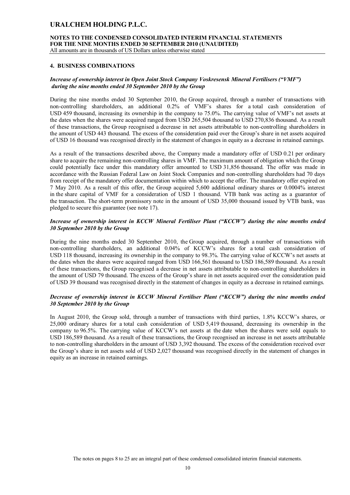**NOTES TO THE CONDENSED CONSOLIDATED INTERIM FINANCIAL STATEMENTS FOR THE NINE MONTHS ENDED 30 SEPTEMBER 2010 (UNAUDITED)**

All amounts are in thousands of US Dollars unless otherwise stated

### **4. BUSINESS COMBINATIONS**

### *Increase of ownership interest in Open Joint Stock Company Voskresensk Mineral Fertilisers ("VMF") during the nine months ended 30 September 2010 by the Group*

During the nine months ended 30 September 2010, the Group acquired, through a number of transactions with non-controlling shareholders, an additional 0.2% of VMF's shares for a total cash consideration of USD 459 thousand, increasing its ownership in the company to 75.0%. The carrying value of VMF's net assets at the dates when the shares were acquired ranged from USD 265,504 thousand to USD 270,836 thousand. As a result of these transactions, the Group recognised a decrease in net assets attributable to non-controlling shareholders in the amount of USD 443 thousand. The excess of the consideration paid over the Group's share in net assets acquired of USD 16 thousand was recognised directly in the statement of changes in equity as a decrease in retained earnings.

As a result of the transactions described above, the Company made a mandatory offer of USD 0.21 per ordinary share to acquire the remaining non-controlling shares in VMF. The maximum amount of obligation which the Group could potentially face under this mandatory offer amounted to USD 31,856 thousand. The offer was made in accordance with the Russian Federal Law on Joint Stock Companies and non-controlling shareholders had 70 days from receipt of the mandatory offer documentation within which to accept the offer. The mandatory offer expired on 7 May 2010. As a result of this offer, the Group acquired 5,600 additional ordinary shares or 0.0004% interest in the share capital of VMF for a consideration of USD 1 thousand. VTB bank was acting as а guarantor of the transaction. The short-term promissory note in the amount of USD 35,000 thousand issued by VTB bank, was pledged to secure this guarantee (see note 17).

### *Increase of ownership interest in KCCW Mineral Fertiliser Plant ("KCCW") during the nine months ended 30 September 2010 by the Group*

During the nine months ended 30 September 2010, the Group acquired, through a number of transactions with non-controlling shareholders, an additional 0.04% of KCCW's shares for a total cash consideration of USD 118 thousand, increasing its ownership in the company to 98.3%. The carrying value of KCCW's net assets at the dates when the shares were acquired ranged from USD 166,561 thousand to USD 186,589 thousand. As a result of these transactions, the Group recognised a decrease in net assets attributable to non-controlling shareholders in the amount of USD 79 thousand. The excess of the Group's share in net assets acquired over the consideration paid of USD 39 thousand was recognised directly in the statement of changes in equity as a decrease in retained earnings.

### *Decrease of ownership interest in KCCW Mineral Fertiliser Plant ("KCCW") during the nine months ended 30 September 2010 by the Group*

In August 2010, the Group sold, through a number of transactions with third parties, 1.8% KCCW's shares, or 25,000 ordinary shares for a total cash consideration of USD 5,419 thousand, decreasing its ownership in the company to 96.5%. The carrying value of KCCW's net assets at the date when the shares were sold equals to USD 186,589 thousand. As a result of these transactions, the Group recognised an increase in net assets attributable to non-controlling shareholders in the amount of USD 3,392 thousand. The excess of the consideration received over the Group's share in net assets sold of USD 2,027 thousand was recognised directly in the statement of changes in equity as an increase in retained earnings.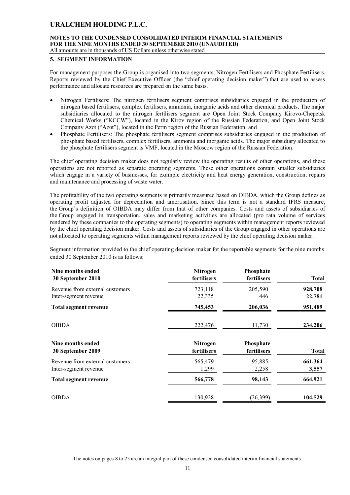# **NOTES TO THE CONDENSED CONSOLIDATED INTERIM FINANCIAL STATEMENTS FOR THE NINE MONTHS ENDED 30 SEPTEMBER 2010 (UNAUDITED)**

All amounts are in thousands of US Dollars unless otherwise stated

### **5. SEGMENT INFORMATION**

For management purposes the Group is organised into two segments, Nitrogen Fertilisers and Phosphate Fertilisers. Reports reviewed by the Chief Executive Officer (the "chief operating decision maker") that are used to assess performance and allocate resources are prepared on the same basis.

- Nitrogen Fertilisers: The nitrogen fertilisers segment comprises subsidiaries engaged in the production of nitrogen based fertilisers, complex fertilisers, ammonia, inorganic acids and other chemical products. The major subsidiaries allocated to the nitrogen fertilisers segment are Open Joint Stock Company Kirovo-Chepetsk Chemical Works ("KCCW"), located in the Kirov region of the Russian Federation, and Open Joint Stock Company Azot ("Azot"), located in the Perm region of the Russian Federation; and
- Phosphate Fertilisers: The phosphate fertilisers segment comprises subsidiaries engaged in the production of phosphate based fertilisers, complex fertilisers, ammonia and inorganic acids. The major subsidiary allocated to the phosphate fertilisers segment is VMF, located in the Moscow region of the Russian Federation.

The chief operating decision maker does not regularly review the operating results of other operations, and these operations are not reported as separate operating segments. These other operations contain smaller subsidiaries which engage in a variety of businesses, for example electricity and heat energy generation, construction, repairs and maintenance and processing of waste water.

The profitability of the two operating segments is primarily measured based on OIBDA, which the Group defines as operating profit adjusted for depreciation and amortisation. Since this term is not a standard IFRS measure, the Group's definition of OIBDA may differ from that of other companies. Costs and assets of subsidiaries of the Group engaged in transportation, sales and marketing activities are allocated (pro rata volume of services rendered by these companies to the operating segments) to operating segments within management reports reviewed by the chief operating decision maker. Costs and assets of subsidiaries of the Group engaged in other operations are not allocated to operating segments within management reports reviewed by the chief operating decision maker.

Segment information provided to the chief operating decision maker for the reportable segments for the nine months ended 30 September 2010 is as follows:

| Nine months ended<br>30 September 2010 | Nitrogen<br>fertilisers        | Phosphate<br>fertilisers | <b>Total</b> |
|----------------------------------------|--------------------------------|--------------------------|--------------|
| Revenue from external customers        | 723,118                        | 205,590                  | 928,708      |
| Inter-segment revenue                  | 22,335                         | 446                      | 22,781       |
| Total segment revenue                  | 745,453                        | 206,036                  | 951,489      |
| <b>OIBDA</b>                           | 222,476                        | 11,730                   | 234,206      |
| Nine months ended<br>30 September 2009 | <b>Nitrogen</b><br>fertilisers | Phosphate<br>fertilisers | <b>Total</b> |
| Revenue from external customers        | 565,479                        | 95,885                   | 661,364      |
| Inter-segment revenue                  | 1,299                          | 2,258                    | 3,557        |
| <b>Total segment revenue</b>           | 566,778                        | 98,143                   | 664,921      |
| <b>OIBDA</b>                           | 130,928                        | (26,399)                 | 104,529      |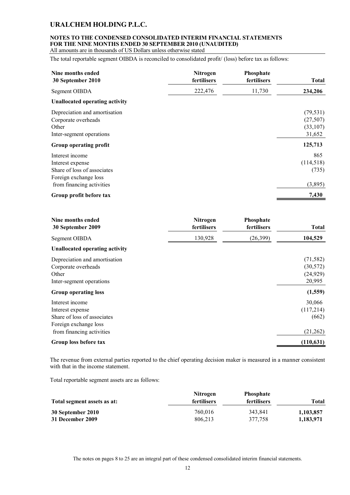# **NOTES TO THE CONDENSED CONSOLIDATED INTERIM FINANCIAL STATEMENTS FOR THE NINE MONTHS ENDED 30 SEPTEMBER 2010 (UNAUDITED)**

All amounts are in thousands of US Dollars unless otherwise stated

The total reportable segment OIBDA is reconciled to consolidated profit/ (loss) before tax as follows:

| Nine months ended<br>30 September 2010                                                                                   | Nitrogen<br>fertilisers | Phosphate<br>fertilisers | <b>Total</b>                                 |
|--------------------------------------------------------------------------------------------------------------------------|-------------------------|--------------------------|----------------------------------------------|
| Segment OIBDA                                                                                                            | 222,476                 | 11,730                   | 234,206                                      |
| <b>Unallocated operating activity</b>                                                                                    |                         |                          |                                              |
| Depreciation and amortisation<br>Corporate overheads<br>Other<br>Inter-segment operations                                |                         |                          | (79, 531)<br>(27, 507)<br>(33,107)<br>31,652 |
| Group operating profit                                                                                                   |                         |                          | 125,713                                      |
| Interest income<br>Interest expense<br>Share of loss of associates<br>Foreign exchange loss<br>from financing activities |                         |                          | 865<br>(114, 518)<br>(735)<br>(3,895)        |
| Group profit before tax                                                                                                  |                         |                          | 7,430                                        |

| Nine months ended | <b>Nitrogen</b> | <b>Phosphate</b> | Total   |
|-------------------|-----------------|------------------|---------|
| 30 September 2009 | fertilisers     | fertilisers      |         |
| Segment OIBDA     | 130.928         | (26, 399)        | 104.529 |

### **Unallocated operating activity**

| Depreciation and amortisation | (71, 582)  |
|-------------------------------|------------|
| Corporate overheads           | (30, 572)  |
| Other                         | (24, 929)  |
| Inter-segment operations      | 20,995     |
| <b>Group operating loss</b>   | (1, 559)   |
| Interest income               | 30,066     |
| Interest expense              | (117,214)  |
| Share of loss of associates   | (662)      |
| Foreign exchange loss         |            |
| from financing activities     | (21,262)   |
| Group loss before tax         | (110, 631) |
|                               |            |

The revenue from external parties reported to the chief operating decision maker is measured in a manner consistent with that in the income statement.

Total reportable segment assets are as follows:

|                             | <b>Nitrogen</b> | <b>Phosphate</b> |           |
|-----------------------------|-----------------|------------------|-----------|
| Total segment assets as at: | fertilisers     | fertilisers      | Total     |
| 30 September 2010           | 760,016         | 343.841          | 1,103,857 |
| 31 December 2009            | 806.213         | 377.758          | 1,183,971 |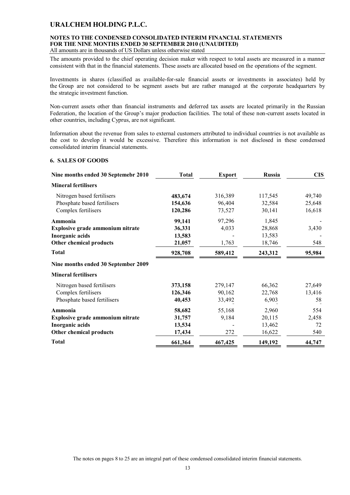# **NOTES TO THE CONDENSED CONSOLIDATED INTERIM FINANCIAL STATEMENTS FOR THE NINE MONTHS ENDED 30 SEPTEMBER 2010 (UNAUDITED)**

All amounts are in thousands of US Dollars unless otherwise stated

The amounts provided to the chief operating decision maker with respect to total assets are measured in a manner consistent with that in the financial statements. These assets are allocated based on the operations of the segment.

Investments in shares (classified as available-for-sale financial assets or investments in associates) held by the Group are not considered to be segment assets but are rather managed at the corporate headquarters by the strategic investment function.

Non-current assets other than financial instruments and deferred tax assets are located primarily in the Russian Federation, the location of the Group's major production facilities. The total of these non-current assets located in other countries, including Cyprus, are not significant.

Information about the revenue from sales to external customers attributed to individual countries is not available as the cost to develop it would be excessive. Therefore this information is not disclosed in these condensed consolidated interim financial statements.

### **6. SALES OF GOODS**

| Nine months ended 30 Septemebr 2010 | <b>Total</b> | <b>Export</b> | Russia  | <b>CIS</b> |
|-------------------------------------|--------------|---------------|---------|------------|
| <b>Mineral fertilisers</b>          |              |               |         |            |
| Nitrogen based fertilisers          | 483,674      | 316,389       | 117,545 | 49,740     |
| Phosphate based fertilisers         | 154,636      | 96,404        | 32,584  | 25,648     |
| Complex fertilisers                 | 120,286      | 73,527        | 30,141  | 16,618     |
| Ammonia                             | 99,141       | 97,296        | 1,845   |            |
| Explosive grade ammonium nitrate    | 36,331       | 4,033         | 28,868  | 3,430      |
| Inorganic acids                     | 13,583       |               | 13,583  |            |
| <b>Other chemical products</b>      | 21,057       | 1,763         | 18,746  | 548        |
| <b>Total</b>                        | 928,708      | 589,412       | 243,312 | 95,984     |
| Nine months ended 30 September 2009 |              |               |         |            |
| <b>Mineral fertilisers</b>          |              |               |         |            |
| Nitrogen based fertilisers          | 373,158      | 279,147       | 66,362  | 27,649     |
| Complex fertilisers                 | 126,346      | 90,162        | 22,768  | 13,416     |
| Phosphate based fertilisers         | 40,453       | 33,492        | 6,903   | 58         |
| Ammonia                             | 58,682       | 55,168        | 2,960   | 554        |
| Explosive grade ammonium nitrate    | 31,757       | 9,184         | 20,115  | 2,458      |
| Inorganic acids                     | 13,534       |               | 13,462  | 72         |
| Other chemical products             | 17,434       | 272           | 16,622  | 540        |
| <b>Total</b>                        | 661,364      | 467,425       | 149,192 | 44,747     |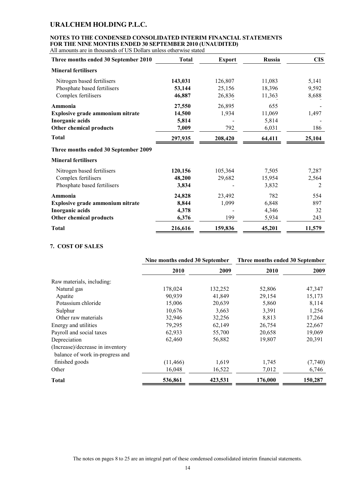# **NOTES TO THE CONDENSED CONSOLIDATED INTERIM FINANCIAL STATEMENTS FOR THE NINE MONTHS ENDED 30 SEPTEMBER 2010 (UNAUDITED)**

| Three months ended 30 September 2010    | <b>Total</b> | <b>Export</b> | <b>Russia</b> | <b>CIS</b> |
|-----------------------------------------|--------------|---------------|---------------|------------|
| <b>Mineral fertilisers</b>              |              |               |               |            |
| Nitrogen based fertilisers              | 143,031      | 126,807       | 11,083        | 5,141      |
| Phosphate based fertilisers             | 53,144       | 25,156        | 18,396        | 9,592      |
| Complex fertilisers                     | 46,887       | 26,836        | 11,363        | 8,688      |
| Ammonia                                 | 27,550       | 26,895        | 655           |            |
| Explosive grade ammonium nitrate        | 14,500       | 1,934         | 11,069        | 1,497      |
| Inorganic acids                         | 5,814        |               | 5,814         |            |
| <b>Other chemical products</b>          | 7,009        | 792           | 6,031         | 186        |
| <b>Total</b>                            | 297,935      | 208,420       | 64,411        | 25,104     |
| Three months ended 30 September 2009    |              |               |               |            |
| <b>Mineral fertilisers</b>              |              |               |               |            |
| Nitrogen based fertilisers              | 120,156      | 105,364       | 7,505         | 7,287      |
| Complex fertilisers                     | 48,200       | 29,682        | 15,954        | 2,564      |
| Phosphate based fertilisers             | 3,834        |               | 3,832         | 2          |
| Ammonia                                 | 24,828       | 23,492        | 782           | 554        |
| <b>Explosive grade ammonium nitrate</b> | 8,844        | 1,099         | 6,848         | 897        |
| Inorganic acids                         | 4,378        |               | 4,346         | 32         |
| <b>Other chemical products</b>          | 6,376        | 199           | 5,934         | 243        |
| <b>Total</b>                            | 216,616      | 159,836       | 45,201        | 11,579     |

### **7. COST OF SALES**

|                                  | Nine months ended 30 September |         | Three months ended 30 September |         |
|----------------------------------|--------------------------------|---------|---------------------------------|---------|
|                                  | 2010                           | 2009    | 2010                            | 2009    |
| Raw materials, including:        |                                |         |                                 |         |
| Natural gas                      | 178,024                        | 132,252 | 52,806                          | 47,347  |
| Apatite                          | 90,939                         | 41,849  | 29,154                          | 15,173  |
| Potassium chloride               | 15,006                         | 20,639  | 5,860                           | 8,114   |
| Sulphur                          | 10,676                         | 3,663   | 3,391                           | 1,256   |
| Other raw materials              | 32,946                         | 32,256  | 8,813                           | 17,264  |
| Energy and utilities             | 79,295                         | 62,149  | 26,754                          | 22,667  |
| Payroll and social taxes         | 62,933                         | 55,700  | 20,658                          | 19,069  |
| Depreciation                     | 62,460                         | 56,882  | 19,807                          | 20,391  |
| (Increase)/decrease in inventory |                                |         |                                 |         |
| balance of work in-progress and  |                                |         |                                 |         |
| finished goods                   | (11, 466)                      | 1,619   | 1,745                           | (7,740) |
| Other                            | 16,048                         | 16,522  | 7,012                           | 6,746   |
| <b>Total</b>                     | 536,861                        | 423,531 | 176,000                         | 150,287 |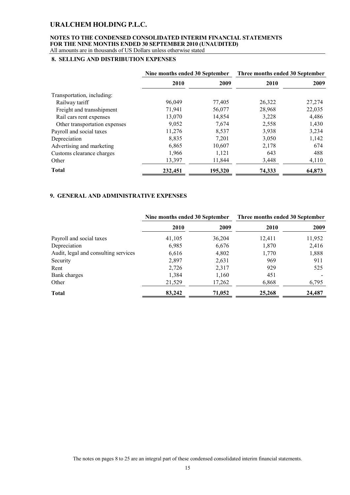### **NOTES TO THE CONDENSED CONSOLIDATED INTERIM FINANCIAL STATEMENTS FOR THE NINE MONTHS ENDED 30 SEPTEMBER 2010 (UNAUDITED)** All amounts are in thousands of US Dollars unless otherwise stated

# **8. SELLING AND DISTRIBUTION EXPENSES**

|                               | Nine months ended 30 September |         | Three months ended 30 September |        |
|-------------------------------|--------------------------------|---------|---------------------------------|--------|
|                               | 2010                           | 2009    | 2010                            | 2009   |
| Transportation, including:    |                                |         |                                 |        |
| Railway tariff                | 96,049                         | 77,405  | 26,322                          | 27,274 |
| Freight and transshipment     | 71,941                         | 56,077  | 28,968                          | 22,035 |
| Rail cars rent expenses       | 13,070                         | 14,854  | 3,228                           | 4,486  |
| Other transportation expenses | 9,052                          | 7,674   | 2,558                           | 1,430  |
| Payroll and social taxes      | 11,276                         | 8,537   | 3,938                           | 3,234  |
| Depreciation                  | 8,835                          | 7,201   | 3,050                           | 1,142  |
| Advertising and marketing     | 6,865                          | 10,607  | 2,178                           | 674    |
| Customs clearance charges     | 1,966                          | 1,121   | 643                             | 488    |
| Other                         | 13,397                         | 11,844  | 3,448                           | 4,110  |
| <b>Total</b>                  | 232,451                        | 195,320 | 74,333                          | 64,873 |

### **9. GENERAL AND ADMINISTRATIVE EXPENSES**

|                                      | Nine months ended 30 September |        | Three months ended 30 September |        |
|--------------------------------------|--------------------------------|--------|---------------------------------|--------|
|                                      | 2010                           | 2009   | <b>2010</b>                     | 2009   |
| Payroll and social taxes             | 41,105                         | 36,204 | 12,411                          | 11,952 |
| Depreciation                         | 6,985                          | 6,676  | 1,870                           | 2,416  |
| Audit, legal and consulting services | 6,616                          | 4,802  | 1,770                           | 1,888  |
| Security                             | 2,897                          | 2,631  | 969                             | 911    |
| Rent                                 | 2,726                          | 2,317  | 929                             | 525    |
| Bank charges                         | 1,384                          | 1,160  | 451                             |        |
| Other                                | 21,529                         | 17,262 | 6,868                           | 6,795  |
| <b>Total</b>                         | 83,242                         | 71,052 | 25,268                          | 24,487 |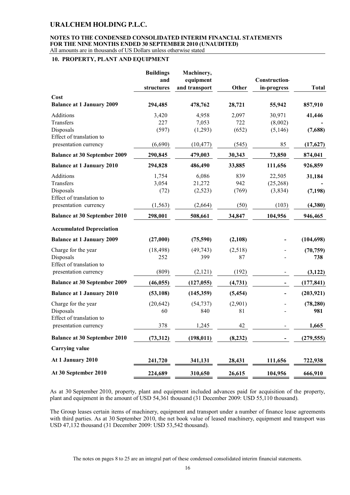#### **NOTES TO THE CONDENSED CONSOLIDATED INTERIM FINANCIAL STATEMENTS FOR THE NINE MONTHS ENDED 30 SEPTEMBER 2010 (UNAUDITED)** All amounts are in thousands of US Dollars unless otherwise stated

### **10. PROPERTY, PLANT AND EQUIPMENT**

|                                     | <b>Buildings</b><br>and<br>structures | Machinery,<br>equipment<br>and transport | Other    | <b>Construction</b><br>in-progress | <b>Total</b> |
|-------------------------------------|---------------------------------------|------------------------------------------|----------|------------------------------------|--------------|
| Cost                                |                                       |                                          |          |                                    |              |
| <b>Balance at 1 January 2009</b>    | 294,485                               | 478,762                                  | 28,721   | 55,942                             | 857,910      |
| <b>Additions</b>                    | 3,420                                 | 4,958                                    | 2,097    | 30,971                             | 41,446       |
| Transfers                           | 227                                   | 7,053                                    | 722      | (8,002)                            |              |
| Disposals                           | (597)                                 | (1,293)                                  | (652)    | (5, 146)                           | (7,688)      |
| Effect of translation to            |                                       |                                          |          |                                    |              |
| presentation currency               | (6,690)                               | (10, 477)                                | (545)    | 85                                 | (17, 627)    |
| <b>Balance at 30 September 2009</b> | 290,845                               | 479,003                                  | 30,343   | 73,850                             | 874,041      |
| <b>Balance at 1 January 2010</b>    | 294,828                               | 486,490                                  | 33,885   | 111,656                            | 926,859      |
| <b>Additions</b>                    | 1,754                                 | 6,086                                    | 839      | 22,505                             | 31,184       |
| Transfers                           | 3,054                                 | 21,272                                   | 942      | (25, 268)                          |              |
| Disposals                           | (72)                                  | (2,523)                                  | (769)    | (3,834)                            | (7, 198)     |
| Effect of translation to            |                                       |                                          |          |                                    |              |
| presentation currency               | (1, 563)                              | (2,664)                                  | (50)     | (103)                              | (4,380)      |
| <b>Balance at 30 September 2010</b> | 298,001                               | 508,661                                  | 34,847   | 104,956                            | 946,465      |
| <b>Accumulated Depreciation</b>     |                                       |                                          |          |                                    |              |
| <b>Balance at 1 January 2009</b>    | (27,000)                              | (75,590)                                 | (2,108)  |                                    | (104, 698)   |
| Charge for the year                 | (18, 498)                             | (49, 743)                                | (2,518)  |                                    | (70, 759)    |
| Disposals                           | 252                                   | 399                                      | 87       |                                    | 738          |
| Effect of translation to            |                                       |                                          |          |                                    |              |
| presentation currency               | (809)                                 | (2,121)                                  | (192)    |                                    | (3, 122)     |
| <b>Balance at 30 September 2009</b> | (46, 055)                             | (127, 055)                               | (4, 731) |                                    | (177, 841)   |
| <b>Balance at 1 January 2010</b>    | (53, 108)                             | (145,359)                                | (5, 454) |                                    | (203, 921)   |
| Charge for the year                 | (20, 642)                             | (54, 737)                                | (2,901)  |                                    | (78, 280)    |
| Disposals                           | 60                                    | 840                                      | 81       |                                    | 981          |
| Effect of translation to            |                                       |                                          |          |                                    |              |
| presentation currency               | 378                                   | 1,245                                    | 42       |                                    | 1,665        |
| <b>Balance at 30 September 2010</b> | (73,312)                              | (198, 011)                               | (8, 232) |                                    | (279, 555)   |
| <b>Carrying value</b>               |                                       |                                          |          |                                    |              |
| At 1 January 2010                   | 241,720                               | 341,131                                  | 28,431   | 111,656                            | 722,938      |
| At 30 September 2010                | 224,689                               | 310,650                                  | 26,615   | 104,956                            | 666,910      |

As at 30 September 2010, property, plant and equipment included advances paid for acquisition of the property, plant and equipment in the amount of USD 54,361 thousand (31 December 2009: USD 55,110 thousand).

The Group leases certain items of machinery, equipment and transport under a number of finance lease agreements with third parties. As at 30 September 2010, the net book value of leased machinery, equipment and transport was USD 47,132 thousand (31 December 2009: USD 53,542 thousand).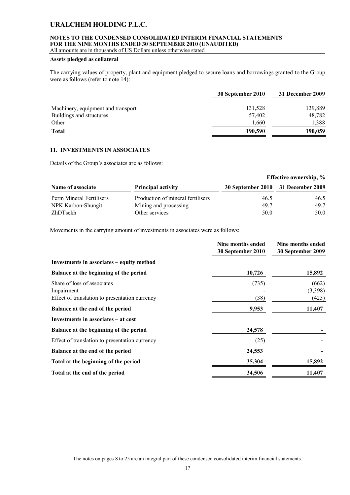# **NOTES TO THE CONDENSED CONSOLIDATED INTERIM FINANCIAL STATEMENTS FOR THE NINE MONTHS ENDED 30 SEPTEMBER 2010 (UNAUDITED)**

All amounts are in thousands of US Dollars unless otherwise stated

### **Assets pledged as collateral**

The carrying values of property, plant and equipment pledged to secure loans and borrowings granted to the Group were as follows (refer to note 14):

|                                    | 30 September 2010 | 31 December 2009 |
|------------------------------------|-------------------|------------------|
| Machinery, equipment and transport | 131,528           | 139,889          |
| Buildings and structures           | 57,402            | 48,782           |
| Other                              | 1.660             | 1.388            |
| Total                              | 190,590           | 190,059          |

### **11. INVESTMENTS IN ASSOCIATES**

Details of the Group's associates are as follows:

|                          |                                   |                                    | <b>Effective ownership, %</b> |
|--------------------------|-----------------------------------|------------------------------------|-------------------------------|
| Name of associate        | <b>Principal activity</b>         | 30 September 2010 31 December 2009 |                               |
| Perm Mineral Fertilisers | Production of mineral fertilisers | 46.5                               | 46.5                          |
| NPK Karbon-Shungit       | Mining and processing             | 49.7                               | 49.7                          |
| ZhDTsekh                 | Other services                    | 50.0                               | 50.0                          |

Movements in the carrying amount of investments in associates were as follows:

|                                                                                             | Nine months ended<br>30 September 2010 | Nine months ended<br>30 September 2009 |
|---------------------------------------------------------------------------------------------|----------------------------------------|----------------------------------------|
| Investments in associates – equity method                                                   |                                        |                                        |
| Balance at the beginning of the period                                                      | 10,726                                 | 15,892                                 |
| Share of loss of associates<br>Impairment<br>Effect of translation to presentation currency | (735)<br>(38)                          | (662)<br>(3,398)<br>(425)              |
| Balance at the end of the period                                                            | 9,953                                  | 11,407                                 |
| Investments in associates – at cost                                                         |                                        |                                        |
| Balance at the beginning of the period                                                      | 24,578                                 |                                        |
| Effect of translation to presentation currency                                              | (25)                                   |                                        |
| Balance at the end of the period                                                            | 24,553                                 |                                        |
| Total at the beginning of the period                                                        | 35,304                                 | 15,892                                 |
| Total at the end of the period                                                              | 34,506                                 | 11,407                                 |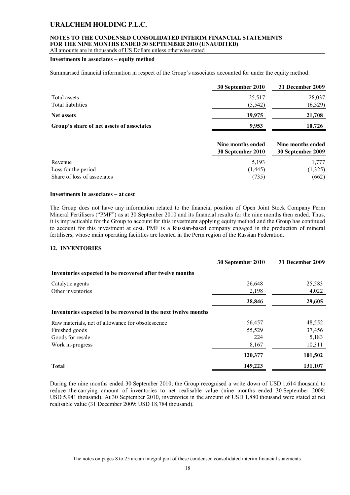# **NOTES TO THE CONDENSED CONSOLIDATED INTERIM FINANCIAL STATEMENTS FOR THE NINE MONTHS ENDED 30 SEPTEMBER 2010 (UNAUDITED)**

All amounts are in thousands of US Dollars unless otherwise stated

### **Investments in associates – equity method**

Summarised financial information in respect of the Group's associates accounted for under the equity method:

|                                           | 30 September 2010 | 31 December 2009 |
|-------------------------------------------|-------------------|------------------|
| Total assets                              | 25,517            | 28,037           |
| Total liabilities                         | (5, 542)          | (6,329)          |
| <b>Net assets</b>                         | 19,975            | 21,708           |
| Group's share of net assets of associates | 9.953             | 10,726           |

|                             | Nine months ended<br>30 September 2010 | Nine months ended<br>30 September 2009 |
|-----------------------------|----------------------------------------|----------------------------------------|
| Revenue                     | 5.193                                  | 1.777                                  |
| Loss for the period         | (1,445)                                | (1,325)                                |
| Share of loss of associates | (735)                                  | (662)                                  |

### **Investments in associates – at cost**

The Group does not have any information related to the financial position of Open Joint Stock Company Perm Mineral Fertilisers ("PMF") as at 30 September 2010 and its financial results for the nine months then ended. Thus, it is impracticable for the Group to account for this investment applying equity method and the Group has continued to account for this investment at cost. PMF is a Russian-based company engaged in the production of mineral fertilisers, whose main operating facilities are located in the Perm region of the Russian Federation.

### **12. INVENTORIES**

|                                                                | 30 September 2010 | 31 December 2009 |
|----------------------------------------------------------------|-------------------|------------------|
| Inventories expected to be recovered after twelve months       |                   |                  |
| Catalytic agents                                               | 26,648            | 25,583           |
| Other inventories                                              | 2,198             | 4,022            |
|                                                                | 28,846            | 29,605           |
| Inventories expected to be recovered in the next twelve months |                   |                  |
| Raw materials, net of allowance for obsolescence               | 56,457            | 48,552           |
| Finished goods                                                 | 55,529            | 37,456           |
| Goods for resale                                               | 224               | 5,183            |
| Work in-progress                                               | 8,167             | 10,311           |
|                                                                | 120,377           | 101,502          |
| <b>Total</b>                                                   | 149,223           | 131,107          |

During the nine months ended 30 September 2010, the Group recognised a write down of USD 1,614 thousand to reduce the carrying amount of inventories to net realisable value (nine months ended 30 September 2009: USD 5,941 thousand). At 30 September 2010, inventories in the amount of USD 1,880 thousand were stated at net realisable value (31 December 2009: USD 18,784 thousand).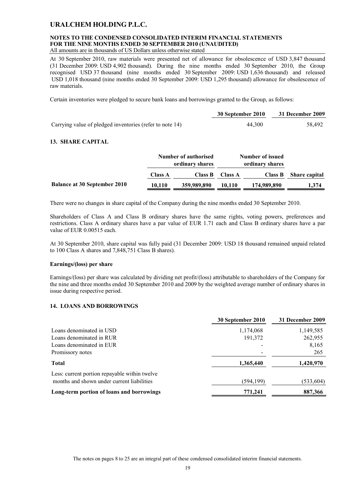# **NOTES TO THE CONDENSED CONSOLIDATED INTERIM FINANCIAL STATEMENTS FOR THE NINE MONTHS ENDED 30 SEPTEMBER 2010 (UNAUDITED)**

All amounts are in thousands of US Dollars unless otherwise stated

At 30 September 2010, raw materials were presented net of allowance for obsolescence of USD 3,847 thousand (31 December 2009: USD 4,902 thousand). During the nine months ended 30 September 2010, the Group recognised USD 37 thousand (nine months ended 30 September 2009: USD 1,636 thousand) and released USD 1,018 thousand (nine months ended 30 September 2009: USD 1,295 thousand) allowance for obsolescence of raw materials.

Certain inventories were pledged to secure bank loans and borrowings granted to the Group, as follows:

|                                                          | 30 September 2010 | 31 December 2009 |
|----------------------------------------------------------|-------------------|------------------|
| Carrying value of pledged inventories (refer to note 14) | 44.300            | 58,492           |

### **13. SHARE CAPITAL**

|                                     |                | Number of authorised<br>ordinary shares |                | Number of issued<br>ordinary shares |                      |
|-------------------------------------|----------------|-----------------------------------------|----------------|-------------------------------------|----------------------|
|                                     | <b>Class A</b> | Class B                                 | <b>Class A</b> | Class B                             | <b>Share capital</b> |
| <b>Balance at 30 September 2010</b> | 10.110         | 359,989,890                             | 10.110         | 174,989,890                         | 1,374                |

There were no changes in share capital of the Company during the nine months ended 30 September 2010.

Shareholders of Class A and Class B ordinary shares have the same rights, voting powers, preferences and restrictions. Class A ordinary shares have a par value of EUR 1.71 each and Class B ordinary shares have a par value of EUR 0.00515 each.

At 30 September 2010, share capital was fully paid (31 December 2009: USD 18 thousand remained unpaid related to 100 Class A shares and 7,848,751 Class B shares).

### **Earnings/(loss) per share**

Earnings/(loss) per share was calculated by dividing net profit/(loss) attributable to shareholders of the Company for the nine and three months ended 30 September 2010 and 2009 by the weighted average number of ordinary shares in issue during respective period.

### **14. LOANS AND BORROWINGS**

|                                                                                             | 30 September 2010 | 31 December 2009 |
|---------------------------------------------------------------------------------------------|-------------------|------------------|
| Loans denominated in USD                                                                    | 1,174,068         | 1,149,585        |
| Loans denominated in RUR                                                                    | 191,372           | 262,955          |
| Loans denominated in EUR                                                                    |                   | 8,165            |
| Promissory notes                                                                            |                   | 265              |
| <b>Total</b>                                                                                | 1,365,440         | 1,420,970        |
| Less: current portion repayable within twelve<br>months and shown under current liabilities | (594, 199)        | (533, 604)       |
| Long-term portion of loans and borrowings                                                   | 771,241           | 887,366          |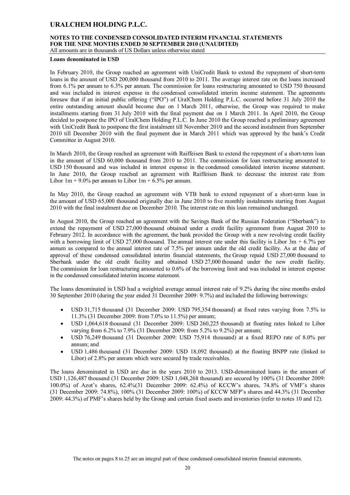# **NOTES TO THE CONDENSED CONSOLIDATED INTERIM FINANCIAL STATEMENTS FOR THE NINE MONTHS ENDED 30 SEPTEMBER 2010 (UNAUDITED)**

All amounts are in thousands of US Dollars unless otherwise stated

#### **Loans denominated in USD**

In February 2010, the Group reached an agreement with UniCredit Bank to extend the repayment of short-term loans in the amount of USD 200,000 thousand from 2010 to 2011. The average interest rate on the loans increased from 6.1% per annum to 6.3% per annum. The commission for loans restructuring amounted to USD 750 thousand and was included in interest expense in the condensed consolidated interim income statement. The agreements foresaw that if an initial public offering ("IPO") of UralChem Holding P.L.C. occurred before 31 July 2010 the entire outstanding amount should become due on 1 March 2011, otherwise, the Group was required to make installments starting from 31 July 2010 with the final payment due on 1 March 2011. In April 2010, the Group decided to postpone the IPO of UralChem Holding P.L.C. In June 2010 the Group reached a preliminary agreement with UniCredit Bank to postpone the first instalment till November 2010 and the second instalment from September 2010 till December 2010 with the final payment due in March 2011 which was approved by the bank's Credit Committee in August 2010.

In March 2010, the Group reached an agreement with Raiffeisen Bank to extend the repayment of a short-term loan in the amount of USD 60,000 thousand from 2010 to 2011. The commission for loan restructuring amounted to USD 150 thousand and was included in interest expense in the condensed consolidated interim income statement. In June 2010, the Group reached an agreement with Raiffeisen Bank to decrease the interest rate from Libor  $1m + 9.0\%$  per annum to Libor  $1m + 6.5\%$  per annum.

In May 2010, the Group reached an agreement with VTB bank to extend repayment of a short-term loan in the amount of USD 65,000 thousand originally due in June 2010 to five monthly instalments starting from August 2010 with the final instalment due on December 2010. The interest rate on this loan remained unchanged.

In August 2010, the Group reached an agreement with the Savings Bank of the Russian Federation ("Sberbank") to extend the repayment of USD 27,000 thousand obtained under a credit facility agreement from August 2010 to February 2012. In accordance with the agreement, the bank provided the Group with a new revolving credit facility with a borrowing limit of USD 27,000 thousand. The annual interest rate under this facility is Libor  $\overline{3m} + 6.7\%$  per annum as compared to the annual interest rate of 7.5% per annum under the old credit facility. As at the date of approval of these condensed consolidated interim financial statements, the Group repaid USD 27,000 thousand to Sberbank under the old credit facility and obtained USD 27,000 thousand under the new credit facility. The commission for loan restructuring amounted to 0.6% of the borrowing limit and was included in interest expense in the condensed consolidated interim income statement.

The loans denominated in USD had a weighted average annual interest rate of 9.2% during the nine months ended 30 September 2010 (during the year ended 31 December 2009: 9.7%) and included the following borrowings:

- USD 31,715 thousand (31 December 2009: USD 795,354 thousand) at fixed rates varying from 7.5% to 11.3% (31 December 2009: from 7.0% to 11.5%) per annum;
- USD 1,064,618 thousand (31 December 2009: USD 260,225 thousand) at floating rates linked to Libor varying from 6.2% to 7.9% (31 December 2009: from 5.2% to 9.2%) per annum;
- USD 76,249 thousand (31 December 2009: USD 75,914 thousand) at a fixed REPO rate of 8.0% per annum; and
- USD 1,486 thousand (31 December 2009: USD 18,092 thousand) at the floating BNPP rate (linked to Libor) of 2.8% per annum which were secured by trade receivables.

The loans denominated in USD are due in the years 2010 to 2013. USD-denominated loans in the amount of USD 1,126,487 thousand (31 December 2009: USD 1,048,268 thousand) are secured by 100% (31 December 2009: 100.0%) of Azot's shares, 62.4%(31 December 2009: 62.4%) of KCCW's shares, 74.8% of VMF's shares (31 December 2009: 74.8%), 100% (31 December 2009: 100%) of KCCW MFP's shares and 44.3% (31 December 2009: 44.3%) of PMF's shares held by the Group and certain fixed assets and inventories (refer to notes 10 and 12).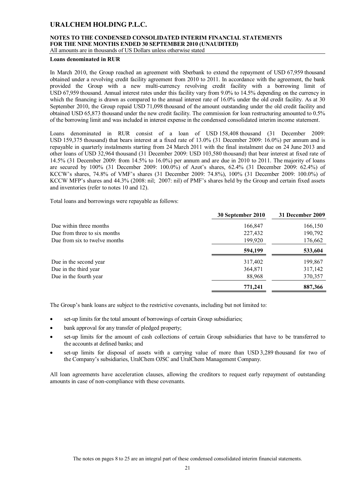# **NOTES TO THE CONDENSED CONSOLIDATED INTERIM FINANCIAL STATEMENTS FOR THE NINE MONTHS ENDED 30 SEPTEMBER 2010 (UNAUDITED)**

All amounts are in thousands of US Dollars unless otherwise stated

#### **Loans denominated in RUR**

In March 2010, the Group reached an agreement with Sberbank to extend the repayment of USD 67,959 thousand obtained under a revolving credit facility agreement from 2010 to 2011. In accordance with the agreement, the bank provided the Group with a new multi-currency revolving credit facility with a borrowing limit of USD 67,959 thousand. Annual interest rates under this facility vary from 9.0% to 14.5% depending on the currency in which the financing is drawn as compared to the annual interest rate of 16.0% under the old credit facility. As at 30 September 2010, the Group repaid USD 71,098 thousand of the amount outstanding under the old credit facility and obtained USD 65,873 thousand under the new credit facility. The commission for loan restructuring amounted to 0.5% of the borrowing limit and was included in interest expense in the condensed consolidated interim income statement.

Loans denominated in RUR consist of a loan of USD 158,408 thousand (31 December 2009: USD 159,375 thousand) that bears interest at a fixed rate of 13.0% (31 December 2009: 16.0%) per annum and is repayable in quarterly instalments starting from 24 March 2011 with the final instalment due on 24 June 2013 and other loans of USD 32,964 thousand (31 December 2009: USD 103,580 thousand) that bear interest at fixed rate of 14.5% (31 December 2009: from 14.5% to 16.0%) per annum and are due in 2010 to 2011. The majority of loans are secured by 100% (31 December 2009: 100.0%) of Azot's shares, 62.4% (31 December 2009: 62.4%) of KCCW's shares, 74.8% of VMF's shares (31 December 2009: 74.8%), 100% (31 December 2009: 100.0%) of KCCW MFP's shares and 44.3% (2008: nil; 2007: nil) of PMF's shares held by the Group and certain fixed assets and inventories (refer to notes 10 and 12).

Total loans and borrowings were repayable as follows:

|                               | 30 September 2010 | 31 December 2009 |
|-------------------------------|-------------------|------------------|
| Due within three months       | 166,847           | 166,150          |
| Due from three to six months  | 227,432           | 190,792          |
| Due from six to twelve months | 199,920           | 176,662          |
|                               | 594,199           | 533,604          |
| Due in the second year        | 317,402           | 199,867          |
| Due in the third year         | 364,871           | 317,142          |
| Due in the fourth year        | 88,968            | 370,357          |
|                               | 771,241           | 887,366          |

The Group's bank loans are subject to the restrictive covenants, including but not limited to:

- set-up limits for the total amount of borrowings of certain Group subsidiaries;
- bank approval for any transfer of pledged property;
- set-up limits for the amount of cash collections of certain Group subsidiaries that have to be transferred to the accounts at defined banks; and
- set-up limits for disposal of assets with a carrying value of more than USD 3,289 thousand for two of the Company's subsidiaries, UralChem OJSC and UralChem Management Company.

All loan agreements have acceleration clauses, allowing the creditors to request early repayment of outstanding amounts in case of non-compliance with these covenants.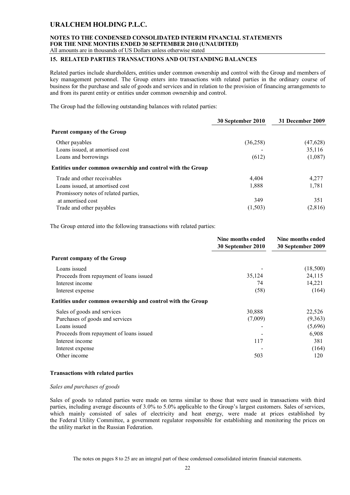### **NOTES TO THE CONDENSED CONSOLIDATED INTERIM FINANCIAL STATEMENTS FOR THE NINE MONTHS ENDED 30 SEPTEMBER 2010 (UNAUDITED)** All amounts are in thousands of US Dollars unless otherwise stated

### **15. RELATED PARTIES TRANSACTIONS AND OUTSTANDING BALANCES**

Related parties include shareholders, entities under common ownership and control with the Group and members of key management personnel. The Group enters into transactions with related parties in the ordinary course of business for the purchase and sale of goods and services and in relation to the provision of financing arrangements to and from its parent entity or entities under common ownership and control.

The Group had the following outstanding balances with related parties:

|                                                            | 30 September 2010 | 31 December 2009 |
|------------------------------------------------------------|-------------------|------------------|
| <b>Parent company of the Group</b>                         |                   |                  |
| Other payables                                             | (36,258)          | (47, 628)        |
| Loans issued, at amortised cost                            |                   | 35,116           |
| Loans and borrowings                                       | (612)             | (1,087)          |
| Entities under common ownership and control with the Group |                   |                  |
| Trade and other receivables                                | 4,404             | 4,277            |
| Loans issued, at amortised cost                            | 1,888             | 1,781            |
| Promissory notes of related parties,                       |                   |                  |
| at amortised cost                                          | 349               | 351              |
| Trade and other payables                                   | (1,503)           | (2,816)          |

The Group entered into the following transactions with related parties:

|                                                            | Nine months ended | Nine months ended |  |
|------------------------------------------------------------|-------------------|-------------------|--|
|                                                            | 30 September 2010 | 30 September 2009 |  |
| Parent company of the Group                                |                   |                   |  |
| Loans issued                                               |                   | (18,500)          |  |
| Proceeds from repayment of loans issued                    | 35,124            | 24,115            |  |
| Interest income                                            | 74                | 14,221            |  |
| Interest expense                                           | (58)              | (164)             |  |
| Entities under common ownership and control with the Group |                   |                   |  |
| Sales of goods and services                                | 30,888            | 22,526            |  |
| Purchases of goods and services                            | (7,009)           | (9,363)           |  |
| Loans issued                                               |                   | (5,696)           |  |
| Proceeds from repayment of loans issued                    |                   | 6,908             |  |
| Interest income                                            | 117               | 381               |  |
| Interest expense                                           |                   | (164)             |  |
| Other income                                               | 503               | 120               |  |

### **Transactions with related parties**

### *Sales and purchases of goods*

Sales of goods to related parties were made on terms similar to those that were used in transactions with third parties, including average discounts of 3.0% to 5.0% applicable to the Group's largest customers. Sales of services, which mainly consisted of sales of electricity and heat energy, were made at prices established by the Federal Utility Committee, a government regulator responsible for establishing and monitoring the prices on the utility market in the Russian Federation.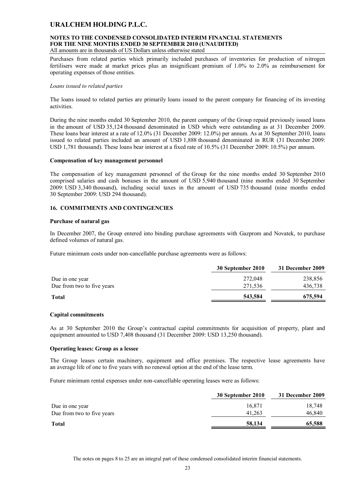# **NOTES TO THE CONDENSED CONSOLIDATED INTERIM FINANCIAL STATEMENTS FOR THE NINE MONTHS ENDED 30 SEPTEMBER 2010 (UNAUDITED)**

All amounts are in thousands of US Dollars unless otherwise stated

Purchases from related parties which primarily included purchases of inventories for production of nitrogen fertilisers were made at market prices plus an insignificant premium of 1.0% to 2.0% as reimbursement for operating expenses of those entities.

### *Loans issued to related parties*

The loans issued to related parties are primarily loans issued to the parent company for financing of its investing activities.

During the nine months ended 30 September 2010, the parent company of the Group repaid previously issued loans in the amount of USD 35,124 thousand denominated in USD which were outstanding as at 31 December 2009. These loans bear interest at a rate of 12.0% (31 December 2009: 12.0%) per annum. As at 30 September 2010, loans issued to related parties included an amount of USD 1,888 thousand denominated in RUR (31 December 2009: USD 1,781 thousand). These loans bear interest at a fixed rate of 10.5% (31 December 2009: 10.5%) per annum.

### **Compensation of key management personnel**

The compensation of key management personnel of the Group for the nine months ended 30 September 2010 comprised salaries and cash bonuses in the amount of USD 5,940 thousand (nine months ended 30 September 2009: USD 3,340 thousand), including social taxes in the amount of USD 735 thousand (nine months ended 30 September 2009: USD 294 thousand).

### **16. COMMITMENTS AND CONTINGENCIES**

### **Purchase of natural gas**

In December 2007, the Group entered into binding purchase agreements with Gazprom and Novatek, to purchase defined volumes of natural gas.

Future minimum costs under non-cancellable purchase agreements were as follows:

|                            | 30 September 2010 | 31 December 2009 |
|----------------------------|-------------------|------------------|
| Due in one year            | 272,048           | 238,856          |
| Due from two to five years | 271,536           | 436,738          |
| <b>Total</b>               | 543,584           | 675,594          |

### **Capital commitments**

As at 30 September 2010 the Group's contractual capital commitments for acquisition of property, plant and equipment amounted to USD 7,408 thousand (31 December 2009: USD 13,250 thousand).

### **Operating leases: Group as a lessee**

The Group leases certain machinery, equipment and office premises. The respective lease agreements have an average life of one to five years with no renewal option at the end of the lease term.

Future minimum rental expenses under non-cancellable operating leases were as follows:

| 30 September 2010 | 31 December 2009 |
|-------------------|------------------|
| 16.871            | 18,748           |
| 41.263            | 46,840           |
| 58,134            | 65,588           |
|                   |                  |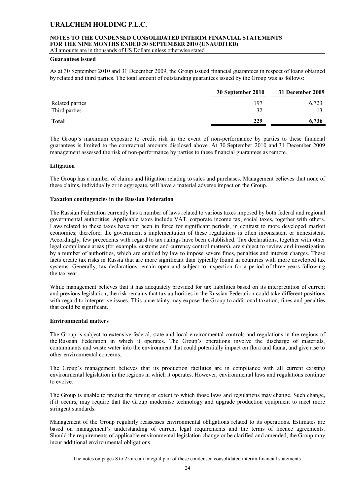# **NOTES TO THE CONDENSED CONSOLIDATED INTERIM FINANCIAL STATEMENTS FOR THE NINE MONTHS ENDED 30 SEPTEMBER 2010 (UNAUDITED)**

All amounts are in thousands of US Dollars unless otherwise stated

### **Guarantees issued**

As at 30 September 2010 and 31 December 2009, the Group issued financial guarantees in respect of loans obtained by related and third parties. The total amount of outstanding guarantees issued by the Group was as follows:

|                 | 30 September 2010 | 31 December 2009 |
|-----------------|-------------------|------------------|
| Related parties | 197               | 6,723            |
| Third parties   | 32                |                  |
| <b>Total</b>    | 229               | 6.736            |
|                 |                   |                  |

The Group's maximum exposure to credit risk in the event of non-performance by parties to these financial guarantees is limited to the contractual amounts disclosed above. At 30 September 2010 and 31 December 2009 management assessed the risk of non-performance by parties to these financial guarantees as remote.

### **Litigation**

The Group has a number of claims and litigation relating to sales and purchases. Management believes that none of these claims, individually or in aggregate, will have a material adverse impact on the Group.

### **Taxation contingencies in the Russian Federation**

The Russian Federation currently has a number of laws related to various taxes imposed by both federal and regional governmental authorities. Applicable taxes include VAT, corporate income tax, social taxes, together with others. Laws related to these taxes have not been in force for significant periods, in contrast to more developed market economies; therefore, the government's implementation of these regulations is often inconsistent or nonexistent. Accordingly, few precedents with regard to tax rulings have been established. Tax declarations, together with other legal compliance areas (for example, customs and currency control matters), are subject to review and investigation by a number of authorities, which are enabled by law to impose severe fines, penalties and interest charges. These facts create tax risks in Russia that are more significant than typically found in countries with more developed tax systems. Generally, tax declarations remain open and subject to inspection for a period of three years following the tax year.

While management believes that it has adequately provided for tax liabilities based on its interpretation of current and previous legislation, the risk remains that tax authorities in the Russian Federation could take different positions with regard to interpretive issues. This uncertainty may expose the Group to additional taxation, fines and penalties that could be significant.

### **Environmental matters**

The Group is subject to extensive federal, state and local environmental controls and regulations in the regions of the Russian Federation in which it operates. The Group's operations involve the discharge of materials, contaminants and waste water into the environment that could potentially impact on flora and fauna, and give rise to other environmental concerns.

The Group's management believes that its production facilities are in compliance with all current existing environmental legislation in the regions in which it operates. However, environmental laws and regulations continue to evolve.

The Group is unable to predict the timing or extent to which those laws and regulations may change. Such change, if it occurs, may require that the Group modernise technology and upgrade production equipment to meet more stringent standards.

Management of the Group regularly reassesses environmental obligations related to its operations. Estimates are based on management's understanding of current legal requirements and the terms of licence agreements. Should the requirements of applicable environmental legislation change or be clarified and amended, the Group may incur additional environmental obligations.